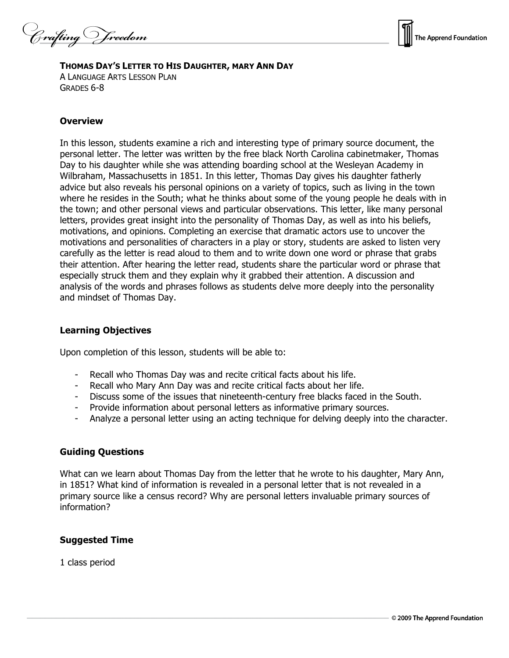Crafting Vreedom



# **THOMAS DAY'S LETTER TO HIS DAUGHTER, MARY ANN DAY**

A LANGUAGE ARTS LESSON PLAN GRADES 6-8

#### **Overview**

In this lesson, students examine a rich and interesting type of primary source document, the personal letter. The letter was written by the free black North Carolina cabinetmaker, Thomas Day to his daughter while she was attending boarding school at the Wesleyan Academy in Wilbraham, Massachusetts in 1851. In this letter, Thomas Day gives his daughter fatherly advice but also reveals his personal opinions on a variety of topics, such as living in the town where he resides in the South; what he thinks about some of the young people he deals with in the town; and other personal views and particular observations. This letter, like many personal letters, provides great insight into the personality of Thomas Day, as well as into his beliefs, motivations, and opinions. Completing an exercise that dramatic actors use to uncover the motivations and personalities of characters in a play or story, students are asked to listen very carefully as the letter is read aloud to them and to write down one word or phrase that grabs their attention. After hearing the letter read, students share the particular word or phrase that especially struck them and they explain why it grabbed their attention. A discussion and analysis of the words and phrases follows as students delve more deeply into the personality and mindset of Thomas Day.

### **Learning Objectives**

Upon completion of this lesson, students will be able to:

- Recall who Thomas Day was and recite critical facts about his life.
- Recall who Mary Ann Day was and recite critical facts about her life.
- Discuss some of the issues that nineteenth-century free blacks faced in the South.
- Provide information about personal letters as informative primary sources.
- Analyze a personal letter using an acting technique for delving deeply into the character.

### **Guiding Questions**

What can we learn about Thomas Day from the letter that he wrote to his daughter, Mary Ann, in 1851? What kind of information is revealed in a personal letter that is not revealed in a primary source like a census record? Why are personal letters invaluable primary sources of information?

### **Suggested Time**

1 class period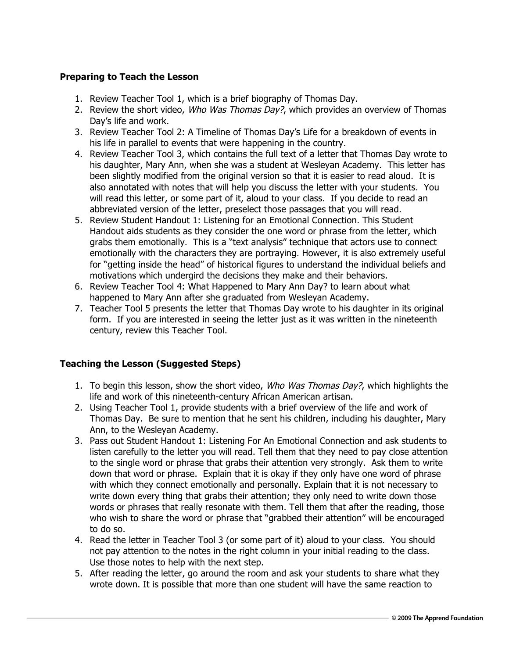# **Preparing to Teach the Lesson**

- 1. Review Teacher Tool 1, which is a brief biography of Thomas Day.
- 2. Review the short video, Who Was Thomas Day?, which provides an overview of Thomas Day's life and work.
- 3. Review Teacher Tool 2: A Timeline of Thomas Day's Life for a breakdown of events in his life in parallel to events that were happening in the country.
- 4. Review Teacher Tool 3, which contains the full text of a letter that Thomas Day wrote to his daughter, Mary Ann, when she was a student at Wesleyan Academy. This letter has been slightly modified from the original version so that it is easier to read aloud. It is also annotated with notes that will help you discuss the letter with your students. You will read this letter, or some part of it, aloud to your class. If you decide to read an abbreviated version of the letter, preselect those passages that you will read.
- 5. Review Student Handout 1: Listening for an Emotional Connection. This Student Handout aids students as they consider the one word or phrase from the letter, which grabs them emotionally. This is a "text analysis" technique that actors use to connect emotionally with the characters they are portraying. However, it is also extremely useful for "getting inside the head" of historical figures to understand the individual beliefs and motivations which undergird the decisions they make and their behaviors.
- 6. Review Teacher Tool 4: What Happened to Mary Ann Day? to learn about what happened to Mary Ann after she graduated from Wesleyan Academy.
- 7. Teacher Tool 5 presents the letter that Thomas Day wrote to his daughter in its original form. If you are interested in seeing the letter just as it was written in the nineteenth century, review this Teacher Tool.

# **Teaching the Lesson (Suggested Steps)**

- 1. To begin this lesson, show the short video, *Who Was Thomas Day?*, which highlights the life and work of this nineteenth-century African American artisan.
- 2. Using Teacher Tool 1, provide students with a brief overview of the life and work of Thomas Day. Be sure to mention that he sent his children, including his daughter, Mary Ann, to the Wesleyan Academy.
- 3. Pass out Student Handout 1: Listening For An Emotional Connection and ask students to listen carefully to the letter you will read. Tell them that they need to pay close attention to the single word or phrase that grabs their attention very strongly. Ask them to write down that word or phrase. Explain that it is okay if they only have one word of phrase with which they connect emotionally and personally. Explain that it is not necessary to write down every thing that grabs their attention; they only need to write down those words or phrases that really resonate with them. Tell them that after the reading, those who wish to share the word or phrase that "grabbed their attention" will be encouraged to do so.
- 4. Read the letter in Teacher Tool 3 (or some part of it) aloud to your class. You should not pay attention to the notes in the right column in your initial reading to the class. Use those notes to help with the next step.
- 5. After reading the letter, go around the room and ask your students to share what they wrote down. It is possible that more than one student will have the same reaction to